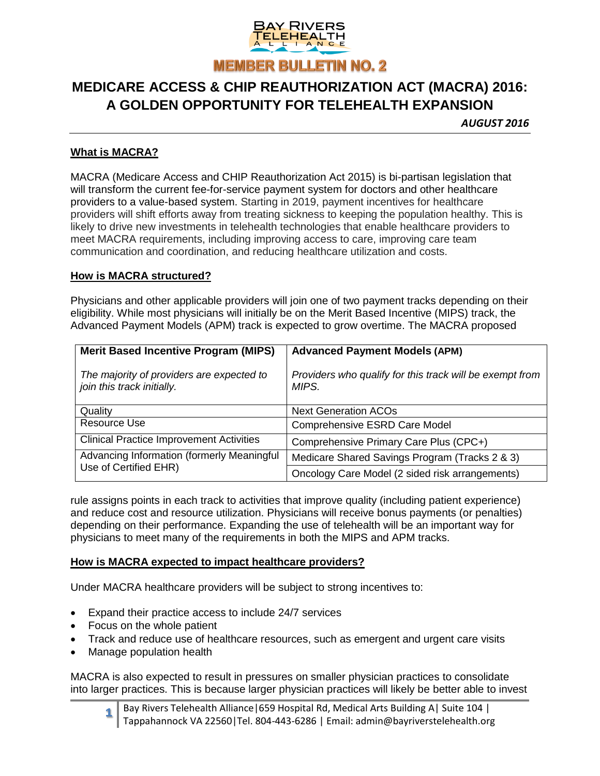

# **MEDICARE ACCESS & CHIP REAUTHORIZATION ACT (MACRA) 2016: A GOLDEN OPPORTUNITY FOR TELEHEALTH EXPANSION**

*AUGUST 2016*

#### **What is MACRA?**

MACRA (Medicare Access and CHIP Reauthorization Act 2015) is bi-partisan legislation that will transform the current fee-for-service payment system for doctors and other healthcare providers to a value-based system. Starting in 2019, payment incentives for healthcare providers will shift efforts away from treating sickness to keeping the population healthy. This is likely to drive new investments in telehealth technologies that enable healthcare providers to meet MACRA requirements, including improving access to care, improving care team communication and coordination, and reducing healthcare utilization and costs.

#### **How is MACRA structured?**

Physicians and other applicable providers will join one of two payment tracks depending on their eligibility. While most physicians will initially be on the Merit Based Incentive (MIPS) track, the Advanced Payment Models (APM) track is expected to grow overtime. The MACRA proposed

| <b>Merit Based Incentive Program (MIPS)</b>                             | <b>Advanced Payment Models (APM)</b>                              |
|-------------------------------------------------------------------------|-------------------------------------------------------------------|
| The majority of providers are expected to<br>join this track initially. | Providers who qualify for this track will be exempt from<br>MIPS. |
| Quality                                                                 | <b>Next Generation ACOs</b>                                       |
| Resource Use                                                            | Comprehensive ESRD Care Model                                     |
| <b>Clinical Practice Improvement Activities</b>                         | Comprehensive Primary Care Plus (CPC+)                            |
| Advancing Information (formerly Meaningful<br>Use of Certified EHR)     | Medicare Shared Savings Program (Tracks 2 & 3)                    |
|                                                                         | Oncology Care Model (2 sided risk arrangements)                   |

rule assigns points in each track to activities that improve quality (including patient experience) and reduce cost and resource utilization. Physicians will receive bonus payments (or penalties) depending on their performance. Expanding the use of telehealth will be an important way for physicians to meet many of the requirements in both the MIPS and APM tracks.

#### **How is MACRA expected to impact healthcare providers?**

Under MACRA healthcare providers will be subject to strong incentives to:

- Expand their practice access to include 24/7 services
- Focus on the whole patient
- Track and reduce use of healthcare resources, such as emergent and urgent care visits
- Manage population health

MACRA is also expected to result in pressures on smaller physician practices to consolidate into larger practices. This is because larger physician practices will likely be better able to invest